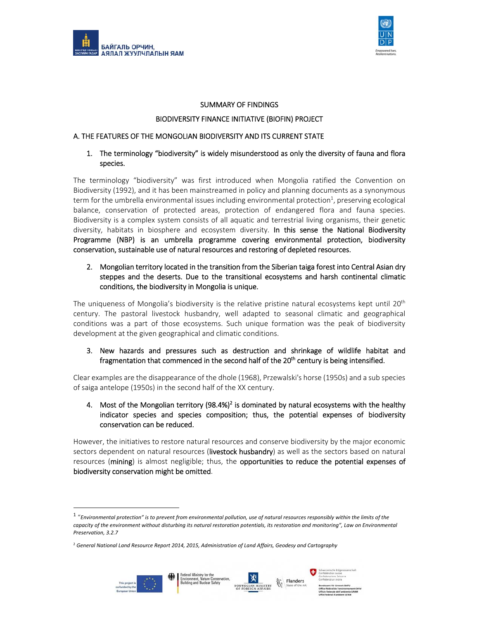



#### SUMMARY OF FINDINGS

#### BIODIVERSITY FINANCE INITIATIVE (BIOFIN) PROJECT

#### A. THE FEATURES OF THE MONGOLIAN BIODIVERSITY AND ITS CURRENT STATE

### 1. The terminology "biodiversity" is widely misunderstood as only the diversity of fauna and flora species.

The terminology "biodiversity" was first introduced when Mongolia ratified the Convention on Biodiversity (1992), and it has been mainstreamed in policy and planning documents as a synonymous term for the umbrella environmental issues including environmental protection<sup>1</sup>, preserving ecological balance, conservation of protected areas, protection of endangered flora and fauna species. Biodiversity is a complex system consists of all aquatic and terrestrial living organisms, their genetic diversity, habitats in biosphere and ecosystem diversity. In this sense the National Biodiversity Programme (NBP) is an umbrella programme covering environmental protection, biodiversity conservation, sustainable use of natural resources and restoring of depleted resources.

2. Mongolian territory located in the transition from the Siberian taiga forest into Central Asian dry steppes and the deserts. Due to the transitional ecosystems and harsh continental climatic conditions, the biodiversity in Mongolia is unique.

The uniqueness of Mongolia's biodiversity is the relative pristine natural ecosystems kept until  $20<sup>th</sup>$ century. The pastoral livestock husbandry, well adapted to seasonal climatic and geographical conditions was a part of those ecosystems. Such unique formation was the peak of biodiversity development at the given geographical and climatic conditions.

3. New hazards and pressures such as destruction and shrinkage of wildlife habitat and fragmentation that commenced in the second half of the  $20<sup>th</sup>$  century is being intensified.

Clear examples are the disappearance of the dhole (1968), Przewalski's horse (1950s) and a sub species of saiga antelope (1950s) in the second half of the XX century.

4. Most of the Mongolian territory (98.4%)<sup>2</sup> is dominated by natural ecosystems with the healthy indicator species and species composition; thus, the potential expenses of biodiversity conservation can be reduced.

However, the initiatives to restore natural resources and conserve biodiversity by the major economic sectors dependent on natural resources (livestock husbandry) as well as the sectors based on natural resources (mining) is almost negligible; thus, the opportunities to reduce the potential expenses of biodiversity conservation might be omitted.





<sup>1</sup> "*Environmental protection" is to prevent from environmental pollution, use of natural resources responsibly within the limits of the capacity of the environment without disturbing its natural restoration potentials, its restoration and monitoring", Law on Environmental Preservation, 3.2.7*

<sup>2</sup> *General National Land Resource Report 2014, 2015, Administration of Land Affairs, Geodesy and Cartography*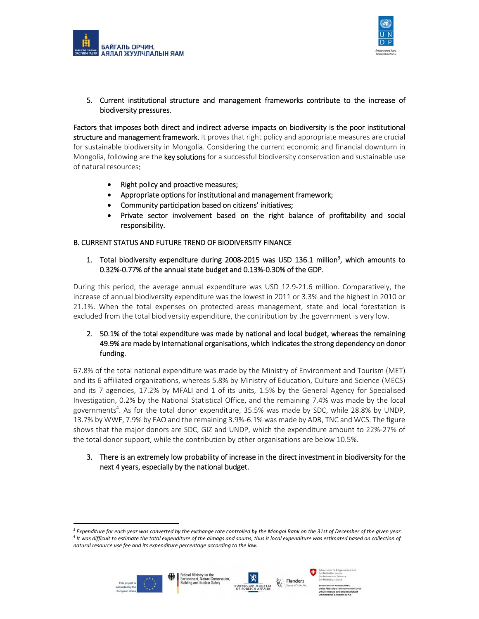



5. Current institutional structure and management frameworks contribute to the increase of biodiversity pressures.

Factors that imposes both direct and indirect adverse impacts on biodiversity is the poor institutional structure and management framework. It proves that right policy and appropriate measures are crucial for sustainable biodiversity in Mongolia. Considering the current economic and financial downturn in Mongolia, following are the **key solutions** for a successful biodiversity conservation and sustainable use of natural resources:

- Right policy and proactive measures;
- Appropriate options for institutional and management framework;
- Community participation based on citizens' initiatives;
- Private sector involvement based on the right balance of profitability and social responsibility.

### B. CURRENT STATUS AND FUTURE TREND OF BIODIVERSITY FINANCE

1. Total biodiversity expenditure during 2008-2015 was USD 136.1 million<sup>3</sup>, which amounts to 0.32%‐0.77% of the annual state budget and 0.13%‐0.30% of the GDP.

During this period, the average annual expenditure was USD 12.9‐21.6 million. Comparatively, the increase of annual biodiversity expenditure was the lowest in 2011 or 3.3% and the highest in 2010 or 21.1%. When the total expenses on protected areas management, state and local forestation is excluded from the total biodiversity expenditure, the contribution by the government is very low.

# 2. 50.1% of the total expenditure was made by national and local budget, whereas the remaining 49.9% are made by international organisations, which indicates the strong dependency on donor funding.

67.8% of the total national expenditure was made by the Ministry of Environment and Tourism (MET) and its 6 affiliated organizations, whereas 5.8% by Ministry of Education, Culture and Science (MECS) and its 7 agencies, 17.2% by MFALI and 1 of its units, 1.5% by the General Agency for Specialised Investigation, 0.2% by the National Statistical Office, and the remaining 7.4% was made by the local governments<sup>4</sup>. As for the total donor expenditure, 35.5% was made by SDC, while 28.8% by UNDP, 13.7% by WWF, 7.9% by FAO and the remaining 3.9%‐6.1% was made by ADB, TNC and WCS. The figure shows that the major donors are SDC, GIZ and UNDP, which the expenditure amount to 22%‐27% of the total donor support, while the contribution by other organisations are below 10.5%.

3. There is an extremely low probability of increase in the direct investment in biodiversity for the next 4 years, especially by the national budget.

*<sup>3</sup> Expenditure for each year was converted by the exchange rate controlled by the Mongol Bank on the 31st of December of the given year.*  <sup>4</sup> It was difficult to estimate the total expenditure of the aimags and soums, thus it local expenditure was estimated based on collection of *natural resource use fee and its expenditure percentage according to the law.*





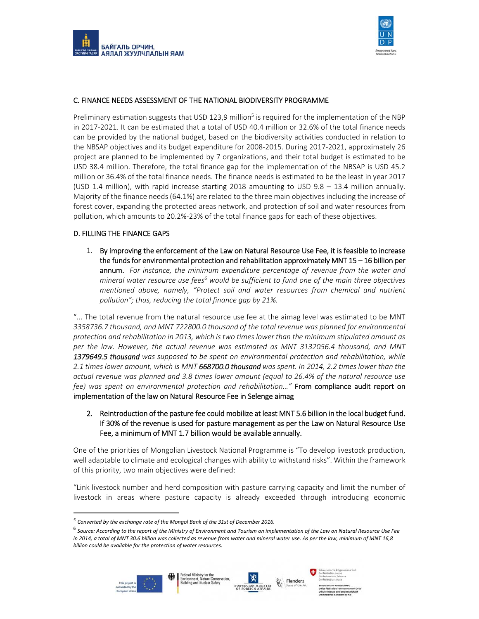



## C. FINANCE NEEDS ASSESSMENT OF THE NATIONAL BIODIVERSITY PROGRAMME

Preliminary estimation suggests that USD 123,9 million<sup>5</sup> is required for the implementation of the NBP in 2017‐2021. It can be estimated that a total of USD 40.4 million or 32.6% of the total finance needs can be provided by the national budget, based on the biodiversity activities conducted in relation to the NBSAP objectives and its budget expenditure for 2008‐2015. During 2017‐2021, approximately 26 project are planned to be implemented by 7 organizations, and their total budget is estimated to be USD 38.4 million. Therefore, the total finance gap for the implementation of the NBSAP is USD 45.2 million or 36.4% of the total finance needs. The finance needs is estimated to be the least in year 2017 (USD 1.4 million), with rapid increase starting 2018 amounting to USD 9.8 – 13.4 million annually. Majority of the finance needs (64.1%) are related to the three main objectives including the increase of forest cover, expanding the protected areas network, and protection of soil and water resources from pollution, which amounts to 20.2%‐23% of the total finance gaps for each of these objectives.

#### D. FILLING THE FINANCE GAPS

1. By improving the enforcement of the Law on Natural Resource Use Fee, it is feasible to increase the funds for environmental protection and rehabilitation approximately MNT 15 – 16 billion per annum. *For instance, the minimum expenditure percentage of revenue from the water and mineral water resource use fees6 would be sufficient to fund one of the main three objectives mentioned above, namely, "Protect soil and water resources from chemical and nutrient pollution"; thus, reducing the total finance gap by 21%.*

"... The total revenue from the natural resource use fee at the aimag level was estimated to be MNT *3358736.7 thousand, and MNT 722800.0 thousand of the total revenue was planned for environmental protection and rehabilitation in 2013, which is two times lower than the minimum stipulated amount as per the law. However, the actual revenue was estimated as MNT 3132056.4 thousand, and MNT 1379649.5 thousand was supposed to be spent on environmental protection and rehabilitation, while 2.1 times lower amount, which is MNT 668700.0 thousand was spent. In 2014, 2.2 times lower than the actual revenue was planned and 3.8 times lower amount (equal to 26.4% of the natural resource use fee) was spent on environmental protection and rehabilitation…"* From compliance audit report on implementation of the law on Natural Resource Fee in Selenge aimag

2. Reintroduction of the pasture fee could mobilize at least MNT 5.6 billion in the local budget fund. If 30% of the revenue is used for pasture management as per the Law on Natural Resource Use Fee, a minimum of MNT 1.7 billion would be available annually.

One of the priorities of Mongolian Livestock National Programme is "To develop livestock production, well adaptable to climate and ecological changes with ability to withstand risks". Within the framework of this priority, two main objectives were defined:

"Link livestock number and herd composition with pasture carrying capacity and limit the number of livestock in areas where pasture capacity is already exceeded through introducing economic

<sup>6</sup> *Source: According to the report of the Ministry of Environment and Tourism on implementation of the Law on Natural Resource Use Fee in 2014, a total of MNT 30.6 billion was collected as revenue from water and mineral water use. As per the law, minimum of MNT 16,8 billion could be available for the protection of water resources.*







*<sup>5</sup> Converted by the exchange rate of the Mongol Bank of the 31st of December 2016.*